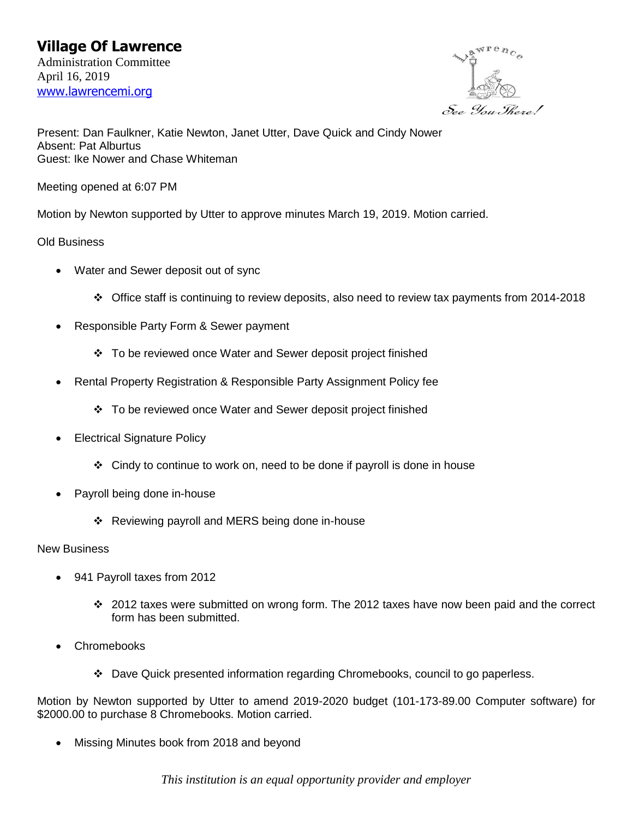

Present: Dan Faulkner, Katie Newton, Janet Utter, Dave Quick and Cindy Nower Absent: Pat Alburtus Guest: Ike Nower and Chase Whiteman

Meeting opened at 6:07 PM

Motion by Newton supported by Utter to approve minutes March 19, 2019. Motion carried.

Old Business

- Water and Sewer deposit out of sync
	- ❖ Office staff is continuing to review deposits, also need to review tax payments from 2014-2018
- Responsible Party Form & Sewer payment
	- ❖ To be reviewed once Water and Sewer deposit project finished
- Rental Property Registration & Responsible Party Assignment Policy fee
	- ❖ To be reviewed once Water and Sewer deposit project finished
- Electrical Signature Policy
	- ❖ Cindy to continue to work on, need to be done if payroll is done in house
- Payroll being done in-house
	- ❖ Reviewing payroll and MERS being done in-house

New Business

- 941 Payroll taxes from 2012
	- ❖ 2012 taxes were submitted on wrong form. The 2012 taxes have now been paid and the correct form has been submitted.
- **Chromebooks** 
	- ❖ Dave Quick presented information regarding Chromebooks, council to go paperless.

Motion by Newton supported by Utter to amend 2019-2020 budget (101-173-89.00 Computer software) for \$2000.00 to purchase 8 Chromebooks. Motion carried.

• Missing Minutes book from 2018 and beyond

*This institution is an equal opportunity provider and employer*